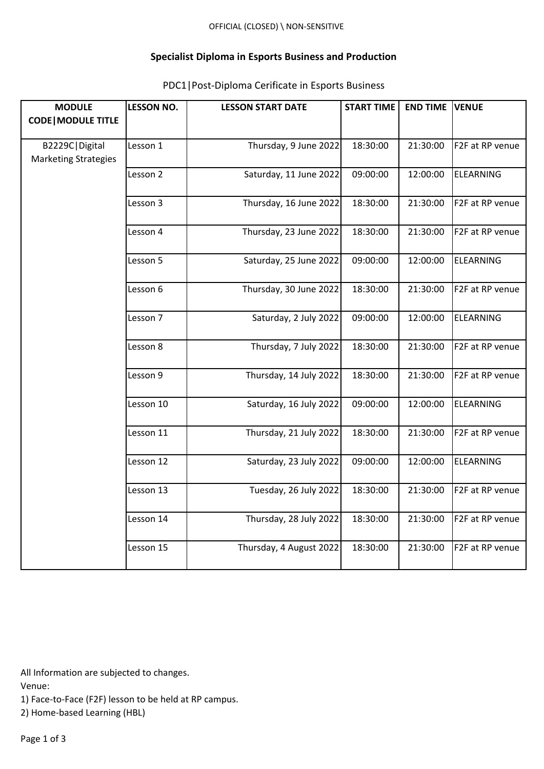## OFFICIAL (CLOSED) \ NON-SENSITIVE#

## **Specialist Diploma in Esports Business and Production**

| <b>MODULE</b>               | <b>LESSON NO.</b> | <b>LESSON START DATE</b> | <b>START TIME</b> | <b>END TIME</b> | <b>VENUE</b>     |
|-----------------------------|-------------------|--------------------------|-------------------|-----------------|------------------|
| <b>CODE   MODULE TITLE</b>  |                   |                          |                   |                 |                  |
|                             |                   |                          |                   |                 |                  |
| B2229C   Digital            | Lesson 1          | Thursday, 9 June 2022    | 18:30:00          | 21:30:00        | F2F at RP venue  |
| <b>Marketing Strategies</b> |                   |                          |                   |                 |                  |
|                             | Lesson 2          | Saturday, 11 June 2022   | 09:00:00          | 12:00:00        | <b>ELEARNING</b> |
|                             | Lesson 3          | Thursday, 16 June 2022   | 18:30:00          | 21:30:00        | F2F at RP venue  |
|                             | Lesson 4          | Thursday, 23 June 2022   | 18:30:00          | 21:30:00        | F2F at RP venue  |
|                             | Lesson 5          | Saturday, 25 June 2022   | 09:00:00          | 12:00:00        | <b>ELEARNING</b> |
|                             | Lesson 6          | Thursday, 30 June 2022   | 18:30:00          | 21:30:00        | F2F at RP venue  |
|                             | Lesson 7          | Saturday, 2 July 2022    | 09:00:00          | 12:00:00        | <b>ELEARNING</b> |
|                             | Lesson 8          | Thursday, 7 July 2022    | 18:30:00          | 21:30:00        | F2F at RP venue  |
|                             | Lesson 9          | Thursday, 14 July 2022   | 18:30:00          | 21:30:00        | F2F at RP venue  |
|                             | Lesson 10         | Saturday, 16 July 2022   | 09:00:00          | 12:00:00        | <b>ELEARNING</b> |
|                             | Lesson 11         | Thursday, 21 July 2022   | 18:30:00          | 21:30:00        | F2F at RP venue  |
|                             | Lesson 12         | Saturday, 23 July 2022   | 09:00:00          | 12:00:00        | ELEARNING        |
|                             | Lesson 13         | Tuesday, 26 July 2022    | 18:30:00          | 21:30:00        | F2F at RP venue  |
|                             | Lesson 14         | Thursday, 28 July 2022   | 18:30:00          | 21:30:00        | F2F at RP venue  |
|                             | Lesson 15         | Thursday, 4 August 2022  | 18:30:00          | 21:30:00        | F2F at RP venue  |

## PDC1|Post-Diploma Cerificate in Esports Business

All Information are subjected to changes.

Venue:

1) Face-to-Face (F2F) lesson to be held at RP campus.

2) Home-based Learning (HBL)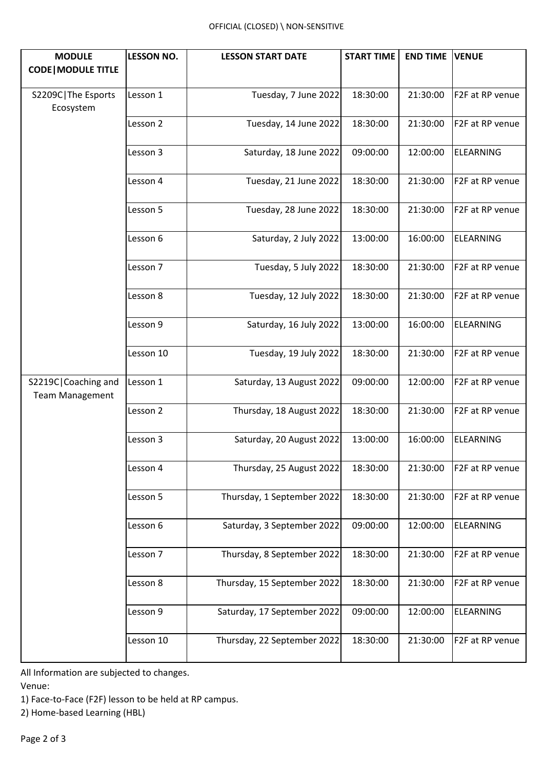| <b>MODULE</b>                                   | <b>LESSON NO.</b> | <b>LESSON START DATE</b>    | <b>START TIME</b> | <b>END TIME</b> | <b>VENUE</b>     |
|-------------------------------------------------|-------------------|-----------------------------|-------------------|-----------------|------------------|
| <b>CODE   MODULE TITLE</b>                      |                   |                             |                   |                 |                  |
| S2209C   The Esports<br>Ecosystem               | Lesson 1          | Tuesday, 7 June 2022        | 18:30:00          | 21:30:00        | F2F at RP venue  |
|                                                 | Lesson 2          | Tuesday, 14 June 2022       | 18:30:00          | 21:30:00        | F2F at RP venue  |
|                                                 | Lesson 3          | Saturday, 18 June 2022      | 09:00:00          | 12:00:00        | <b>ELEARNING</b> |
|                                                 | Lesson 4          | Tuesday, 21 June 2022       | 18:30:00          | 21:30:00        | F2F at RP venue  |
|                                                 | Lesson 5          | Tuesday, 28 June 2022       | 18:30:00          | 21:30:00        | F2F at RP venue  |
|                                                 | Lesson 6          | Saturday, 2 July 2022       | 13:00:00          | 16:00:00        | <b>ELEARNING</b> |
|                                                 | Lesson 7          | Tuesday, 5 July 2022        | 18:30:00          | 21:30:00        | F2F at RP venue  |
|                                                 | Lesson 8          | Tuesday, 12 July 2022       | 18:30:00          | 21:30:00        | F2F at RP venue  |
|                                                 | Lesson 9          | Saturday, 16 July 2022      | 13:00:00          | 16:00:00        | <b>ELEARNING</b> |
|                                                 | Lesson 10         | Tuesday, 19 July 2022       | 18:30:00          | 21:30:00        | F2F at RP venue  |
| S2219C   Coaching and<br><b>Team Management</b> | Lesson 1          | Saturday, 13 August 2022    | 09:00:00          | 12:00:00        | F2F at RP venue  |
|                                                 | Lesson 2          | Thursday, 18 August 2022    | 18:30:00          | 21:30:00        | F2F at RP venue  |
|                                                 | Lesson 3          | Saturday, 20 August 2022    | 13:00:00          | 16:00:00        | <b>ELEARNING</b> |
|                                                 | Lesson 4          | Thursday, 25 August 2022    | 18:30:00          | 21:30:00        | F2F at RP venue  |
|                                                 | Lesson 5          | Thursday, 1 September 2022  | 18:30:00          | 21:30:00        | F2F at RP venue  |
|                                                 | Lesson 6          | Saturday, 3 September 2022  | 09:00:00          | 12:00:00        | <b>ELEARNING</b> |
|                                                 | Lesson 7          | Thursday, 8 September 2022  | 18:30:00          | 21:30:00        | F2F at RP venue  |
|                                                 | Lesson 8          | Thursday, 15 September 2022 | 18:30:00          | 21:30:00        | F2F at RP venue  |
|                                                 | Lesson 9          | Saturday, 17 September 2022 | 09:00:00          | 12:00:00        | <b>ELEARNING</b> |
|                                                 | Lesson 10         | Thursday, 22 September 2022 | 18:30:00          | 21:30:00        | F2F at RP venue  |

All Information are subjected to changes.

Venue:

1) Face-to-Face (F2F) lesson to be held at RP campus.

2) Home-based Learning (HBL)